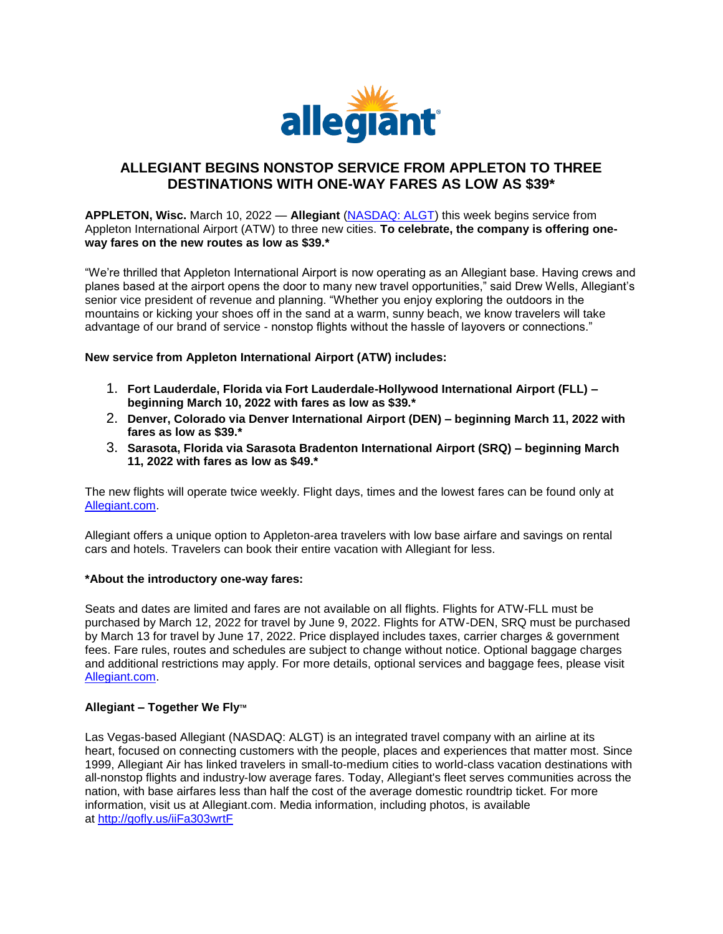

## **ALLEGIANT BEGINS NONSTOP SERVICE FROM APPLETON TO THREE DESTINATIONS WITH ONE-WAY FARES AS LOW AS \$39\***

**APPLETON, Wisc.** March 10, 2022 — **Allegiant** [\(NASDAQ: ALGT\)](https://linkprotect.cudasvc.com/url?a=https%3a%2f%2fu7061146.ct.sendgrid.net%2fls%2fclick%3fupn%3dfqhy0MMaq18lyVSU5ZOY3UqARwwGlNuMFnxaLqnUVoT-2FHiSbFrhdnmJKXQ6EF8hsWppw_Qq67IX79a6oJKm6jW5kkhECbWJLHnfaTEAxPa1f86zqNc0Regi84NJ7HApbh3H54JtKZ7LENw2aSFJJFULOtn1yd-2FakME5gRFc-2FLmJB1l9v-2FROXaNw7NL4ah-2BYkrtuLVuvg5j9ERZbTCU1YWvol-2BYfJHfWJLAALp9s43rUoQa4uWVs5Tz8-2BZ0ESL-2Fhed3gooCeaY7mKca-2FkqiAkDY0oRZwREz9eo6j7OgG5SkzzLDBq-2FOIEWPGZvQ35JsCE5fKeFv-2FdxUcD-2Ft4Vyf85ciBcAS-2F7H45Ffp3FsiwmOLyMUcz22bQ0GRpZVuXj24Aj2sKC8RZRvG-2BvoY5tT2l0s8iRO219-2BqwiJ1ImYO5bV1OoeRa4-3D&c=E,1,k8DZTvyWuOp1v_robHXENz6m3fa3lEmYiHF2w7hc9mAu-gchzeLTneKrLt8vCxi_nBTwWSCiZAmH-puGYCdaaHXJAsyW6fie4zgQbx-EZVfu1iuJ7SBVI4s,&typo=1) this week begins service from Appleton International Airport (ATW) to three new cities. **To celebrate, the company is offering oneway fares on the new routes as low as \$39.\***

"We're thrilled that Appleton International Airport is now operating as an Allegiant base. Having crews and planes based at the airport opens the door to many new travel opportunities," said Drew Wells, Allegiant's senior vice president of revenue and planning. "Whether you enjoy exploring the outdoors in the mountains or kicking your shoes off in the sand at a warm, sunny beach, we know travelers will take advantage of our brand of service - nonstop flights without the hassle of layovers or connections."

**New service from Appleton International Airport (ATW) includes:**

- 1. **Fort Lauderdale, Florida via Fort Lauderdale-Hollywood International Airport (FLL) – beginning March 10, 2022 with fares as low as \$39.\***
- 2. **Denver, Colorado via Denver International Airport (DEN) – beginning March 11, 2022 with fares as low as \$39.\***
- 3. **Sarasota, Florida via Sarasota Bradenton International Airport (SRQ) – beginning March 11, 2022 with fares as low as \$49.\***

The new flights will operate twice weekly. Flight days, times and the lowest fares can be found only at [Allegiant.com.](https://linkprotect.cudasvc.com/url?a=https%3a%2f%2fu7061146.ct.sendgrid.net%2fls%2fclick%3fupn%3dTeZUXWpUv-2B6TCY38pVLo9u5W6UASIGfnhGHEXKka30Un0N4BNzRnWixOyJZMrIwEOu8l_Qq67IX79a6oJKm6jW5kkhECbWJLHnfaTEAxPa1f86zqNc0Regi84NJ7HApbh3H54JtKZ7LENw2aSFJJFULOtn1yd-2FakME5gRFc-2FLmJB1l9v-2FROXaNw7NL4ah-2BYkrtuLVuvg5j9ERZbTCU1YWvol-2BYfJHfWJLAALp9s43rUoQa4uWVs5Tz8-2BZ0ESL-2Fhed3gooCeaY7mKca-2FkqiAkDY0oRZ1sV56hNejAFKJ9zDobLC2cprJwVgGw9XfS9VgpbgIFkI2o7kP-2BVF7RHn-2Fg0ursXIaSSFrm3YC-2FHSanCWmgnc20b1RLNz0mp6tSfzyWsUC2IkS073oM4SnzyAlVJnazvSf-2FNqpTLfrS46c1Pv8NDjYk-3D&c=E,1,jJ34a83-QxZ4jiuXFz0zxFHl889PQOB9wS252gLzeoOHIzFls4MLFcidJ2hS6zQkgTLj3qpFLl-zaJx620QpqP8lH-J-E4Mj7MoYpx2IwXqo&typo=1)

Allegiant offers a unique option to Appleton-area travelers with low base airfare and savings on rental cars and hotels. Travelers can book their entire vacation with Allegiant for less.

## **\*About the introductory one-way fares:**

Seats and dates are limited and fares are not available on all flights. Flights for ATW-FLL must be purchased by March 12, 2022 for travel by June 9, 2022. Flights for ATW-DEN, SRQ must be purchased by March 13 for travel by June 17, 2022. Price displayed includes taxes, carrier charges & government fees. Fare rules, routes and schedules are subject to change without notice. Optional baggage charges and additional restrictions may apply. For more details, optional services and baggage fees, please visit [Allegiant.com.](https://linkprotect.cudasvc.com/url?a=https%3a%2f%2fu7061146.ct.sendgrid.net%2fls%2fclick%3fupn%3dvgPU0L08DtdYS96St647-2FWVBOSTVEM6Po7qFzFwFRpA-3DwI28_Qq67IX79a6oJKm6jW5kkhECbWJLHnfaTEAxPa1f86zqNc0Regi84NJ7HApbh3H54JtKZ7LENw2aSFJJFULOtn1yd-2FakME5gRFc-2FLmJB1l9v-2FROXaNw7NL4ah-2BYkrtuLVuvg5j9ERZbTCU1YWvol-2BYfJHfWJLAALp9s43rUoQa4uWVs5Tz8-2BZ0ESL-2Fhed3gooCeaY7mKca-2FkqiAkDY0oRZ7A3L-2F-2Fd7XuMTU6mqEMxrOVSTFt8txrC3-2FFXz2hPViEg3bJNcqSvdZ8tYGvjIoe2tU6eKn4RMxR2oIPM-2FbzrdvGYX-2F8zRP4hVijsTfBx1emKClwGecO9sYz4rDToKxEVkMGDFwOgdLiL-2FU7QuqIOQao-3D&c=E,1,sccWWdIg4Ay0MVfEHJ8jQYh7ot1R0ugj20Y8XfGzM3eNI4qlXkchFWSuY9bOBbh5XHRi0GIVCL2XRgT2a7kq931qvTCKmzwGEESbNv4Iu7rqFFwg823TDn7QEGs,&typo=1)

## **Allegiant – Together We Fly™**

Las Vegas-based Allegiant (NASDAQ: ALGT) is an integrated travel company with an airline at its heart, focused on connecting customers with the people, places and experiences that matter most. Since 1999, Allegiant Air has linked travelers in small-to-medium cities to world-class vacation destinations with all-nonstop flights and industry-low average fares. Today, Allegiant's fleet serves communities across the nation, with base airfares less than half the cost of the average domestic roundtrip ticket. For more information, visit us at Allegiant.com. Media information, including photos, is available at [http://gofly.us/iiFa303wrtF](https://linkprotect.cudasvc.com/url?a=https%3a%2f%2fu7061146.ct.sendgrid.net%2fls%2fclick%3fupn%3d4tNED-2FM8iDZJQyQ53jATUeS0h4DJ623Zdp12Z8IUD4NVwYgVObZqI01cgJbnmBZtuUAXzGxgs7INEfdZ9ly4GXo8Gyt2lz8AnPqvkbJgr27JI2whSVL2g5eKa1rkOGcHA1lzmtjTfnuwsp-2BS2kmZAJlxL0KnAsw-2FUPqPDbNkRogCNNDRjwqlFoksCHqdYc0NFwox_Qq67IX79a6oJKm6jW5kkhECbWJLHnfaTEAxPa1f86zqNc0Regi84NJ7HApbh3H54JtKZ7LENw2aSFJJFULOtn1yd-2FakME5gRFc-2FLmJB1l9v-2FROXaNw7NL4ah-2BYkrtuLVuvg5j9ERZbTCU1YWvol-2BYfJHfWJLAALp9s43rUoQa4uWVs5Tz8-2BZ0ESL-2Fhed3gooCeaY7mKca-2FkqiAkDY0oRZ1shxTcVgEdORr5Dw5dxJELnfbLrg9XzTJvsb0i2J2YP5botgZUaNw3e4FdyCFTwG6AaldVjtN8Z-2BXPZ-2BCI4ircMoUGdXClM9-2B-2F2LKGxCv49zYPT-2B61gmrNmZIGqGQAZpI7hKnhE6Mc4K2IFXz222-2Fc-3D&c=E,1,lbSfRLOFa2Ja1vbbL9DmpqdzdMocfN5fGJyR9r5sNcfPv4y1zvRiS43tFyPYANHoU5AZ1XGYY1qTwXmB-wXJCLRWYiVSMCWO3L7y8Wye6iNR0yej&typo=1)